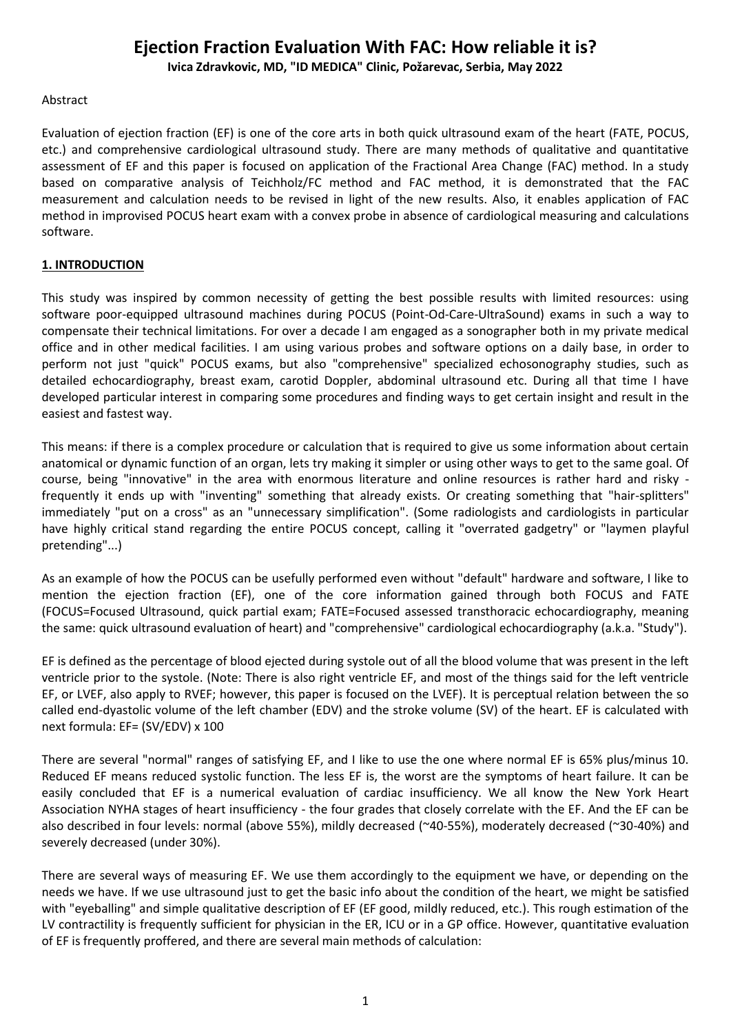# **Ejection Fraction Evaluation With FAC: How reliable it is?**

**Ivica Zdravkovic, MD, "ID MEDICA" Clinic, Požarevac, Serbia, May 2022**

## Abstract

Evaluation of ejection fraction (EF) is one of the core arts in both quick ultrasound exam of the heart (FATE, POCUS, etc.) and comprehensive cardiological ultrasound study. There are many methods of qualitative and quantitative assessment of EF and this paper is focused on application of the Fractional Area Change (FAC) method. In a study based on comparative analysis of Teichholz/FC method and FAC method, it is demonstrated that the FAC measurement and calculation needs to be revised in light of the new results. Also, it enables application of FAC method in improvised POCUS heart exam with a convex probe in absence of cardiological measuring and calculations software.

# **1. INTRODUCTION**

This study was inspired by common necessity of getting the best possible results with limited resources: using software poor-equipped ultrasound machines during POCUS (Point-Od-Care-UltraSound) exams in such a way to compensate their technical limitations. For over a decade I am engaged as a sonographer both in my private medical office and in other medical facilities. I am using various probes and software options on a daily base, in order to perform not just "quick" POCUS exams, but also "comprehensive" specialized echosonography studies, such as detailed echocardiography, breast exam, carotid Doppler, abdominal ultrasound etc. During all that time I have developed particular interest in comparing some procedures and finding ways to get certain insight and result in the easiest and fastest way.

This means: if there is a complex procedure or calculation that is required to give us some information about certain anatomical or dynamic function of an organ, lets try making it simpler or using other ways to get to the same goal. Of course, being "innovative" in the area with enormous literature and online resources is rather hard and risky frequently it ends up with "inventing" something that already exists. Or creating something that "hair-splitters" immediately "put on a cross" as an "unnecessary simplification". (Some radiologists and cardiologists in particular have highly critical stand regarding the entire POCUS concept, calling it "overrated gadgetry" or "laymen playful pretending"...)

As an example of how the POCUS can be usefully performed even without "default" hardware and software, I like to mention the ejection fraction (EF), one of the core information gained through both FOCUS and FATE (FOCUS=Focused Ultrasound, quick partial exam; FATE=Focused assessed transthoracic echocardiography, meaning the same: quick ultrasound evaluation of heart) and "comprehensive" cardiological echocardiography (a.k.a. "Study").

EF is defined as the percentage of blood ejected during systole out of all the blood volume that was present in the left ventricle prior to the systole. (Note: There is also right ventricle EF, and most of the things said for the left ventricle EF, or LVEF, also apply to RVEF; however, this paper is focused on the LVEF). It is perceptual relation between the so called end-dyastolic volume of the left chamber (EDV) and the stroke volume (SV) of the heart. EF is calculated with next formula: EF= (SV/EDV) x 100

There are several "normal" ranges of satisfying EF, and I like to use the one where normal EF is 65% plus/minus 10. Reduced EF means reduced systolic function. The less EF is, the worst are the symptoms of heart failure. It can be easily concluded that EF is a numerical evaluation of cardiac insufficiency. We all know the New York Heart Association NYHA stages of heart insufficiency - the four grades that closely correlate with the EF. And the EF can be also described in four levels: normal (above 55%), mildly decreased (~40-55%), moderately decreased (~30-40%) and severely decreased (under 30%).

There are several ways of measuring EF. We use them accordingly to the equipment we have, or depending on the needs we have. If we use ultrasound just to get the basic info about the condition of the heart, we might be satisfied with "eyeballing" and simple qualitative description of EF (EF good, mildly reduced, etc.). This rough estimation of the LV contractility is frequently sufficient for physician in the ER, ICU or in a GP office. However, quantitative evaluation of EF is frequently proffered, and there are several main methods of calculation: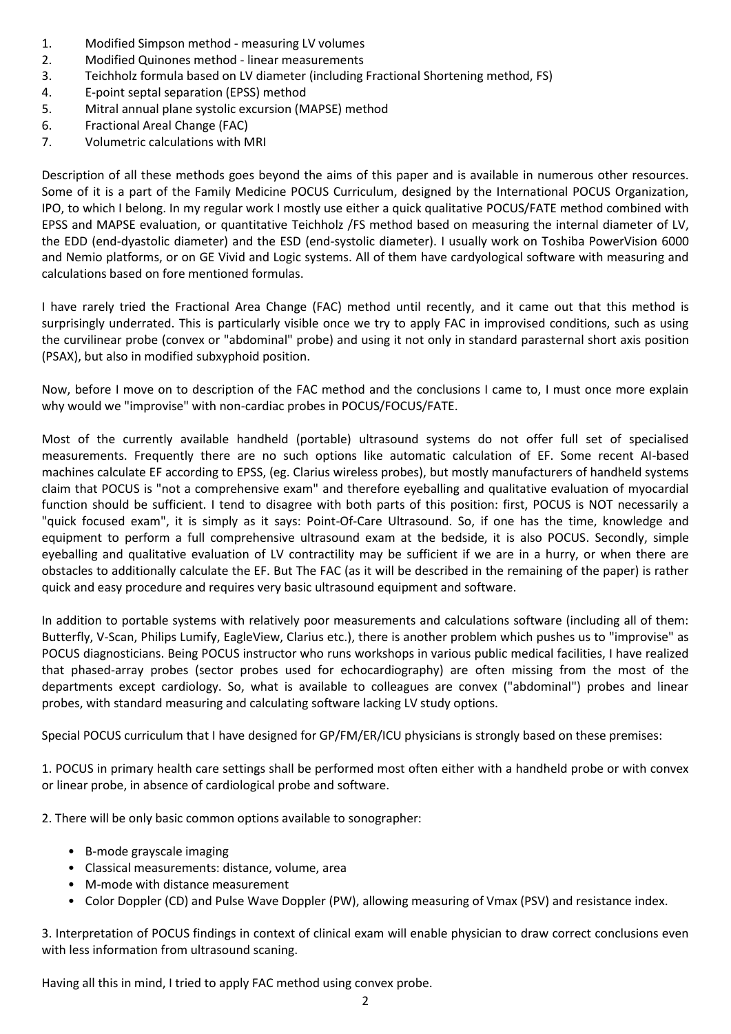- 1. Modified Simpson method measuring LV volumes
- 2. Modified Quinones method linear measurements
- 3. Teichholz formula based on LV diameter (including Fractional Shortening method, FS)
- 4. E-point septal separation (EPSS) method
- 5. Mitral annual plane systolic excursion (MAPSE) method
- 6. Fractional Areal Change (FAC)
- 7. Volumetric calculations with MRI

Description of all these methods goes beyond the aims of this paper and is available in numerous other resources. Some of it is a part of the Family Medicine POCUS Curriculum, designed by the International POCUS Organization, IPO, to which I belong. In my regular work I mostly use either a quick qualitative POCUS/FATE method combined with EPSS and MAPSE evaluation, or quantitative Teichholz /FS method based on measuring the internal diameter of LV, the EDD (end-dyastolic diameter) and the ESD (end-systolic diameter). I usually work on Toshiba PowerVision 6000 and Nemio platforms, or on GE Vivid and Logic systems. All of them have cardyological software with measuring and calculations based on fore mentioned formulas.

I have rarely tried the Fractional Area Change (FAC) method until recently, and it came out that this method is surprisingly underrated. This is particularly visible once we try to apply FAC in improvised conditions, such as using the curvilinear probe (convex or "abdominal" probe) and using it not only in standard parasternal short axis position (PSAX), but also in modified subxyphoid position.

Now, before I move on to description of the FAC method and the conclusions I came to, I must once more explain why would we "improvise" with non-cardiac probes in POCUS/FOCUS/FATE.

Most of the currently available handheld (portable) ultrasound systems do not offer full set of specialised measurements. Frequently there are no such options like automatic calculation of EF. Some recent AI-based machines calculate EF according to EPSS, (eg. Clarius wireless probes), but mostly manufacturers of handheld systems claim that POCUS is "not a comprehensive exam" and therefore eyeballing and qualitative evaluation of myocardial function should be sufficient. I tend to disagree with both parts of this position: first, POCUS is NOT necessarily a "quick focused exam", it is simply as it says: Point-Of-Care Ultrasound. So, if one has the time, knowledge and equipment to perform a full comprehensive ultrasound exam at the bedside, it is also POCUS. Secondly, simple eyeballing and qualitative evaluation of LV contractility may be sufficient if we are in a hurry, or when there are obstacles to additionally calculate the EF. But The FAC (as it will be described in the remaining of the paper) is rather quick and easy procedure and requires very basic ultrasound equipment and software.

In addition to portable systems with relatively poor measurements and calculations software (including all of them: Butterfly, V-Scan, Philips Lumify, EagleView, Clarius etc.), there is another problem which pushes us to "improvise" as POCUS diagnosticians. Being POCUS instructor who runs workshops in various public medical facilities, I have realized that phased-array probes (sector probes used for echocardiography) are often missing from the most of the departments except cardiology. So, what is available to colleagues are convex ("abdominal") probes and linear probes, with standard measuring and calculating software lacking LV study options.

Special POCUS curriculum that I have designed for GP/FM/ER/ICU physicians is strongly based on these premises:

1. POCUS in primary health care settings shall be performed most often either with a handheld probe or with convex or linear probe, in absence of cardiological probe and software.

2. There will be only basic common options available to sonographer:

- B-mode grayscale imaging
- Classical measurements: distance, volume, area
- M-mode with distance measurement
- Color Doppler (CD) and Pulse Wave Doppler (PW), allowing measuring of Vmax (PSV) and resistance index.

3. Interpretation of POCUS findings in context of clinical exam will enable physician to draw correct conclusions even with less information from ultrasound scaning.

Having all this in mind, I tried to apply FAC method using convex probe.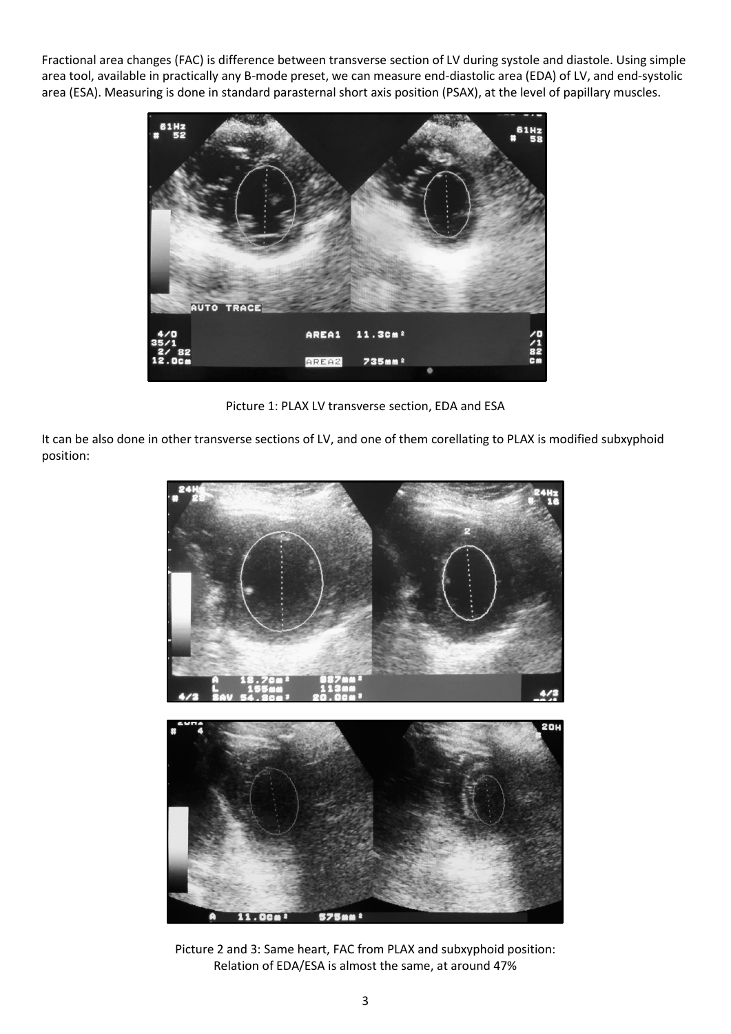Fractional area changes (FAC) is difference between transverse section of LV during systole and diastole. Using simple area tool, available in practically any B-mode preset, we can measure end-diastolic area (EDA) of LV, and end-systolic area (ESA). Measuring is done in standard parasternal short axis position (PSAX), at the level of papillary muscles.



Picture 1: PLAX LV transverse section, EDA and ESA

It can be also done in other transverse sections of LV, and one of them corellating to PLAX is modified subxyphoid position:



Picture 2 and 3: Same heart, FAC from PLAX and subxyphoid position: Relation of EDA/ESA is almost the same, at around 47%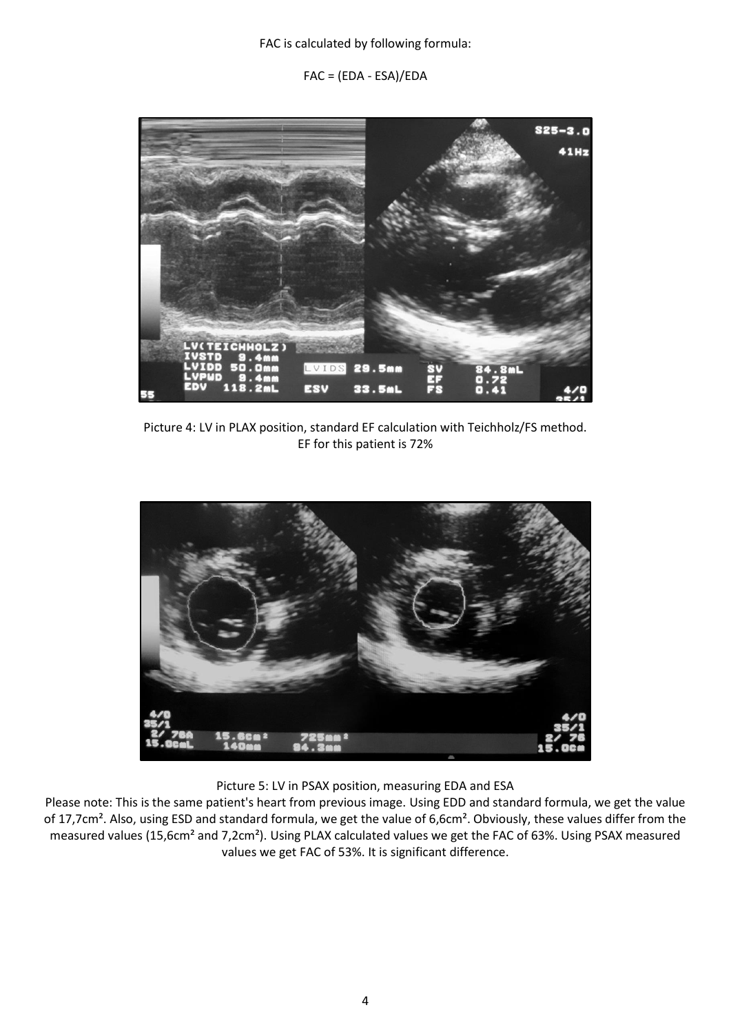FAC is calculated by following formula:

FAC = (EDA - ESA)/EDA



Picture 4: LV in PLAX position, standard EF calculation with Teichholz/FS method. EF for this patient is 72%



Picture 5: LV in PSAX position, measuring EDA and ESA

Please note: This is the same patient's heart from previous image. Using EDD and standard formula, we get the value of 17,7cm<sup>2</sup>. Also, using ESD and standard formula, we get the value of 6,6cm<sup>2</sup>. Obviously, these values differ from the measured values (15,6cm² and 7,2cm²). Using PLAX calculated values we get the FAC of 63%. Using PSAX measured values we get FAC of 53%. It is significant difference.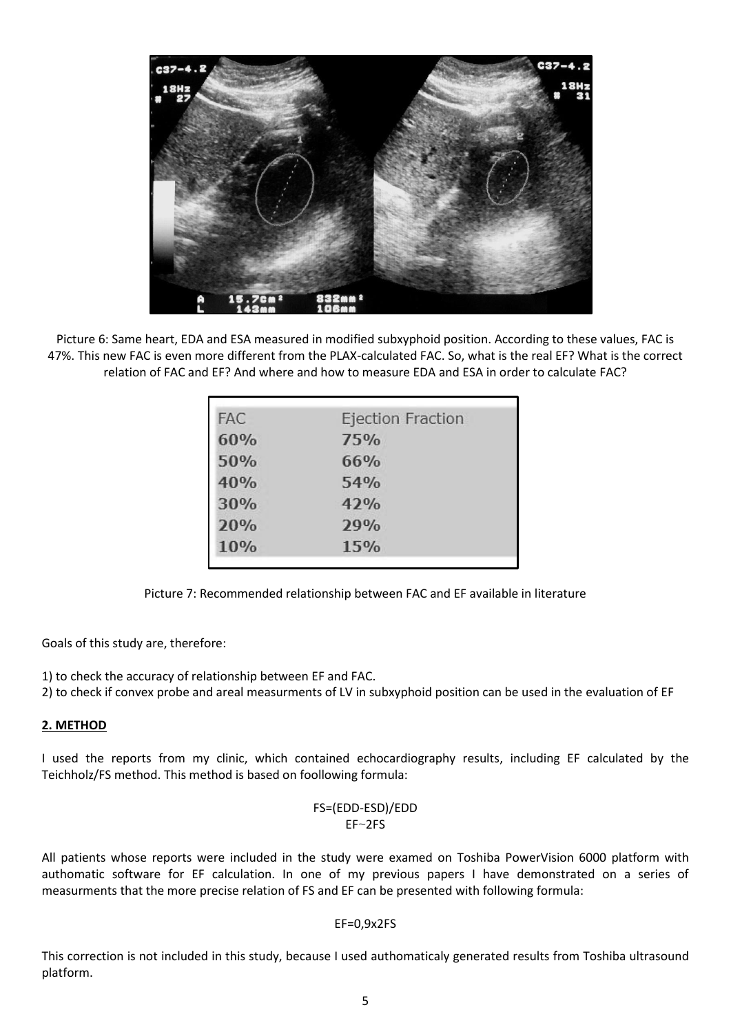

Picture 6: Same heart, EDA and ESA measured in modified subxyphoid position. According to these values, FAC is 47%. This new FAC is even more different from the PLAX-calculated FAC. So, what is the real EF? What is the correct relation of FAC and EF? And where and how to measure EDA and ESA in order to calculate FAC?

| <b>FAC</b> | <b>Ejection Fraction</b> |
|------------|--------------------------|
| 60%        | 75%                      |
| 50%        | 66%                      |
| 40%        | 54%                      |
| 30%        | 42%                      |
| 20%        | 29%                      |
| 10%        | 15%                      |

Picture 7: Recommended relationship between FAC and EF available in literature

Goals of this study are, therefore:

1) to check the accuracy of relationship between EF and FAC.

2) to check if convex probe and areal measurments of LV in subxyphoid position can be used in the evaluation of EF

## **2. METHOD**

I used the reports from my clinic, which contained echocardiography results, including EF calculated by the Teichholz/FS method. This method is based on foollowing formula:

> FS=(EDD-ESD)/EDD EF~2FS

All patients whose reports were included in the study were examed on Toshiba PowerVision 6000 platform with authomatic software for EF calculation. In one of my previous papers I have demonstrated on a series of measurments that the more precise relation of FS and EF can be presented with following formula:

#### EF=0,9x2FS

This correction is not included in this study, because I used authomaticaly generated results from Toshiba ultrasound platform.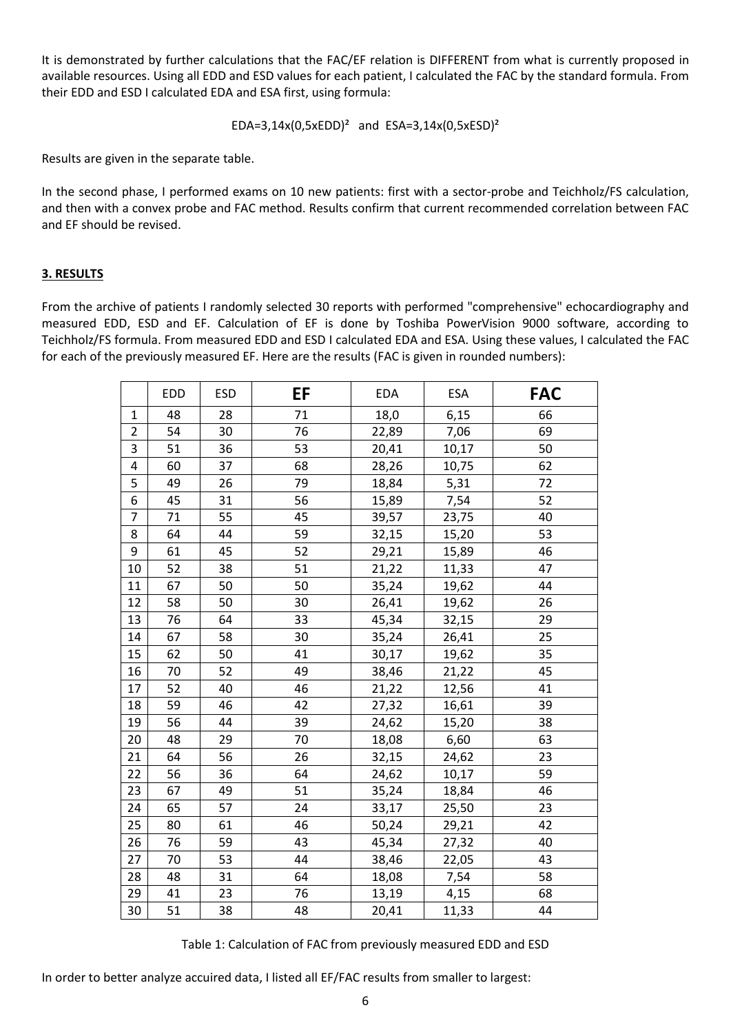It is demonstrated by further calculations that the FAC/EF relation is DIFFERENT from what is currently proposed in available resources. Using all EDD and ESD values for each patient, I calculated the FAC by the standard formula. From their EDD and ESD I calculated EDA and ESA first, using formula:

EDA=3,14x(0,5xEDD)<sup>2</sup> and ESA=3,14x(0,5xESD)<sup>2</sup>

Results are given in the separate table.

In the second phase, I performed exams on 10 new patients: first with a sector-probe and Teichholz/FS calculation, and then with a convex probe and FAC method. Results confirm that current recommended correlation between FAC and EF should be revised.

## **3. RESULTS**

From the archive of patients I randomly selected 30 reports with performed "comprehensive" echocardiography and measured EDD, ESD and EF. Calculation of EF is done by Toshiba PowerVision 9000 software, according to Teichholz/FS formula. From measured EDD and ESD I calculated EDA and ESA. Using these values, I calculated the FAC for each of the previously measured EF. Here are the results (FAC is given in rounded numbers):

|                | EDD | <b>ESD</b> | EF | <b>EDA</b> | <b>ESA</b> | <b>FAC</b> |
|----------------|-----|------------|----|------------|------------|------------|
| $\mathbf{1}$   | 48  | 28         | 71 | 18,0       | 6,15       | 66         |
| $\overline{2}$ | 54  | 30         | 76 | 22,89      | 7,06       | 69         |
| 3              | 51  | 36         | 53 | 20,41      | 10,17      | 50         |
| 4              | 60  | 37         | 68 | 28,26      | 10,75      | 62         |
| 5              | 49  | 26         | 79 | 18,84      | 5,31       | 72         |
| 6              | 45  | 31         | 56 | 15,89      | 7,54       | 52         |
| $\overline{7}$ | 71  | 55         | 45 | 39,57      | 23,75      | 40         |
| 8              | 64  | 44         | 59 | 32,15      | 15,20      | 53         |
| 9              | 61  | 45         | 52 | 29,21      | 15,89      | 46         |
| 10             | 52  | 38         | 51 | 21,22      | 11,33      | 47         |
| 11             | 67  | 50         | 50 | 35,24      | 19,62      | 44         |
| 12             | 58  | 50         | 30 | 26,41      | 19,62      | 26         |
| 13             | 76  | 64         | 33 | 45,34      | 32,15      | 29         |
| 14             | 67  | 58         | 30 | 35,24      | 26,41      | 25         |
| 15             | 62  | 50         | 41 | 30,17      | 19,62      | 35         |
| 16             | 70  | 52         | 49 | 38,46      | 21,22      | 45         |
| 17             | 52  | 40         | 46 | 21,22      | 12,56      | 41         |
| 18             | 59  | 46         | 42 | 27,32      | 16,61      | 39         |
| 19             | 56  | 44         | 39 | 24,62      | 15,20      | 38         |
| 20             | 48  | 29         | 70 | 18,08      | 6,60       | 63         |
| 21             | 64  | 56         | 26 | 32,15      | 24,62      | 23         |
| 22             | 56  | 36         | 64 | 24,62      | 10,17      | 59         |
| 23             | 67  | 49         | 51 | 35,24      | 18,84      | 46         |
| 24             | 65  | 57         | 24 | 33,17      | 25,50      | 23         |
| 25             | 80  | 61         | 46 | 50,24      | 29,21      | 42         |
| 26             | 76  | 59         | 43 | 45,34      | 27,32      | 40         |
| 27             | 70  | 53         | 44 | 38,46      | 22,05      | 43         |
| 28             | 48  | 31         | 64 | 18,08      | 7,54       | 58         |
| 29             | 41  | 23         | 76 | 13,19      | 4,15       | 68         |
| 30             | 51  | 38         | 48 | 20,41      | 11,33      | 44         |

Table 1: Calculation of FAC from previously measured EDD and ESD

In order to better analyze accuired data, I listed all EF/FAC results from smaller to largest: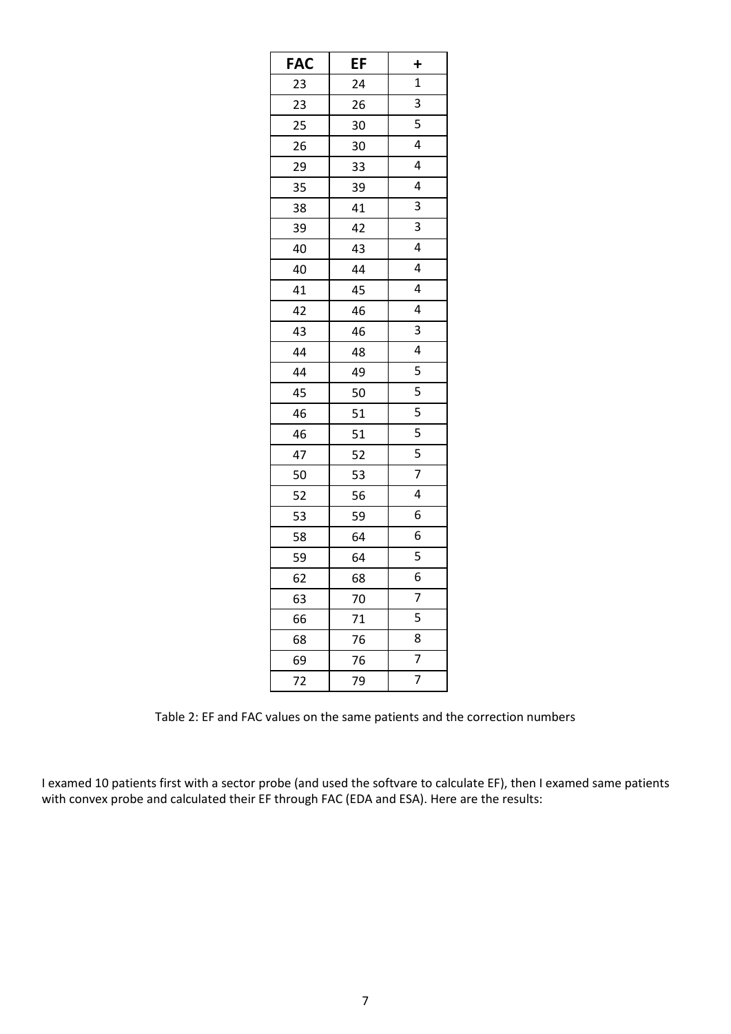| <b>FAC</b> | EF | $\ddot{}$               |
|------------|----|-------------------------|
| 23         | 24 | $\mathbf{1}$            |
| 23         | 26 | 3                       |
| 25         | 30 | 5                       |
| 26         | 30 | 4                       |
| 29         | 33 | 4                       |
| 35         | 39 | 4                       |
| 38         | 41 | 3                       |
| 39         | 42 | 3                       |
| 40         | 43 | 4                       |
| 40         | 44 | 4                       |
| 41         | 45 | 4                       |
| 42         | 46 | 4                       |
| 43         | 46 | $\overline{3}$          |
| 44         | 48 | 4                       |
| 44         | 49 | 5                       |
| 45         | 50 | $\overline{5}$          |
| 46         | 51 | $\overline{5}$          |
| 46         | 51 | $\overline{5}$          |
| 47         | 52 | 5                       |
| 50         | 53 | $\overline{7}$          |
| 52         | 56 | $\overline{\mathbf{4}}$ |
| 53         | 59 | 6                       |
| 58         | 64 | 6                       |
| 59         | 64 | 5                       |
| 62         | 68 | 6                       |
| 63         | 70 | $\overline{7}$          |
| 66         | 71 | 5                       |
| 68         | 76 | 8                       |
| 69         | 76 | 7                       |
| 72         | 79 | $\overline{7}$          |

Table 2: EF and FAC values on the same patients and the correction numbers

I examed 10 patients first with a sector probe (and used the softvare to calculate EF), then I examed same patients with convex probe and calculated their EF through FAC (EDA and ESA). Here are the results: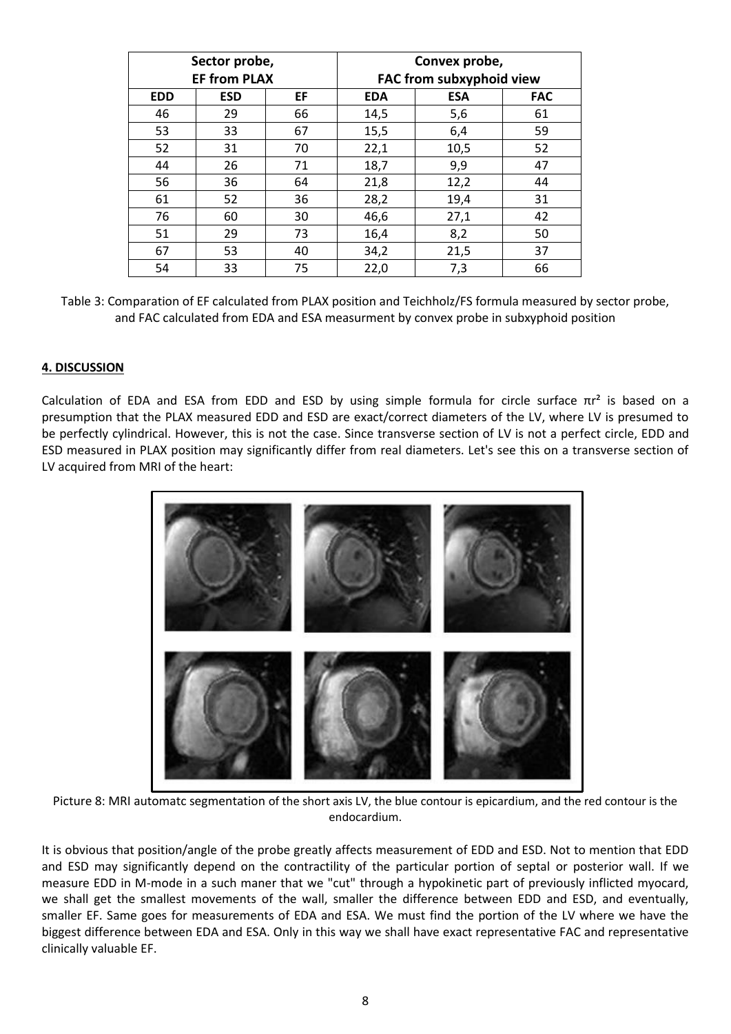| Sector probe,<br><b>EF from PLAX</b> |            |    | Convex probe,<br>FAC from subxyphoid view |            |            |
|--------------------------------------|------------|----|-------------------------------------------|------------|------------|
| <b>EDD</b>                           | <b>ESD</b> | EF | <b>EDA</b>                                | <b>ESA</b> | <b>FAC</b> |
| 46                                   | 29         | 66 | 14,5                                      | 5,6        | 61         |
| 53                                   | 33         | 67 | 15,5                                      | 6,4        | 59         |
| 52                                   | 31         | 70 | 22,1                                      | 10,5       | 52         |
| 44                                   | 26         | 71 | 18,7                                      | 9,9        | 47         |
| 56                                   | 36         | 64 | 21,8                                      | 12,2       | 44         |
| 61                                   | 52         | 36 | 28,2                                      | 19,4       | 31         |
| 76                                   | 60         | 30 | 46,6                                      | 27,1       | 42         |
| 51                                   | 29         | 73 | 16,4                                      | 8,2        | 50         |
| 67                                   | 53         | 40 | 34,2                                      | 21,5       | 37         |
| 54                                   | 33         | 75 | 22,0                                      | 7,3        | 66         |

Table 3: Comparation of EF calculated from PLAX position and Teichholz/FS formula measured by sector probe, and FAC calculated from EDA and ESA measurment by convex probe in subxyphoid position

## **4. DISCUSSION**

Calculation of EDA and ESA from EDD and ESD by using simple formula for circle surface πr² is based on a presumption that the PLAX measured EDD and ESD are exact/correct diameters of the LV, where LV is presumed to be perfectly cylindrical. However, this is not the case. Since transverse section of LV is not a perfect circle, EDD and ESD measured in PLAX position may significantly differ from real diameters. Let's see this on a transverse section of LV acquired from MRI of the heart:



Picture 8: MRI automatc segmentation of the short axis LV, the blue contour is epicardium, and the red contour is the endocardium.

It is obvious that position/angle of the probe greatly affects measurement of EDD and ESD. Not to mention that EDD and ESD may significantly depend on the contractility of the particular portion of septal or posterior wall. If we measure EDD in M-mode in a such maner that we "cut" through a hypokinetic part of previously inflicted myocard, we shall get the smallest movements of the wall, smaller the difference between EDD and ESD, and eventually, smaller EF. Same goes for measurements of EDA and ESA. We must find the portion of the LV where we have the biggest difference between EDA and ESA. Only in this way we shall have exact representative FAC and representative clinically valuable EF.